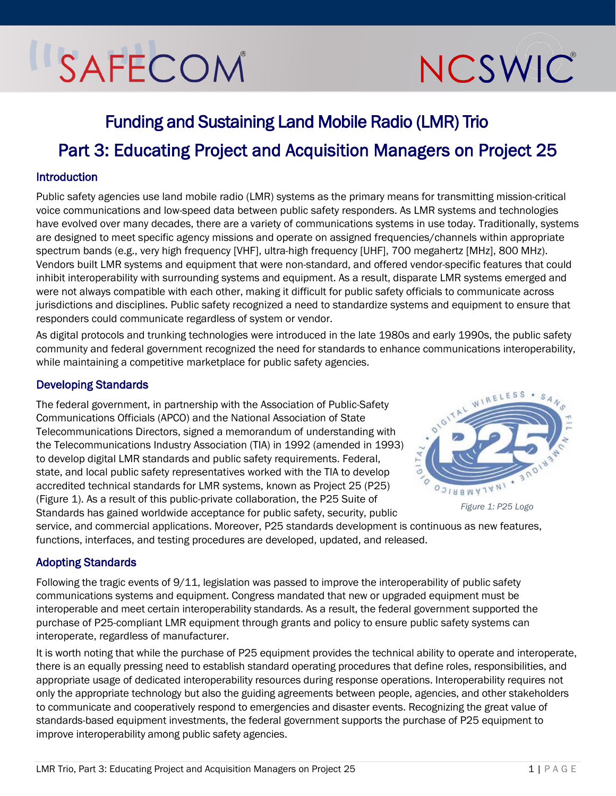## SAFECOM

# NCSWIC

### Funding and Sustaining Land Mobile Radio (LMR) Trio Part 3: Educating Project and Acquisition Managers on Project 25

#### **Introduction**

Public safety agencies use land mobile radio (LMR) systems as the primary means for transmitting mission-critical voice communications and low-speed data between public safety responders. As LMR systems and technologies have evolved over many decades, there are a variety of communications systems in use today. Traditionally, systems are designed to meet specific agency missions and operate on assigned frequencies/channels within appropriate spectrum bands (e.g., very high frequency [VHF], ultra-high frequency [UHF], 700 megahertz [MHz], 800 MHz). Vendors built LMR systems and equipment that were non-standard, and offered vendor-specific features that could inhibit interoperability with surrounding systems and equipment. As a result, disparate LMR systems emerged and were not always compatible with each other, making it difficult for public safety officials to communicate across jurisdictions and disciplines. Public safety recognized a need to standardize systems and equipment to ensure that responders could communicate regardless of system or vendor.

As digital protocols and trunking technologies were introduced in the late 1980s and early 1990s, the public safety community and federal government recognized the need for standards to enhance communications interoperability, while maintaining a competitive marketplace for public safety agencies.

#### Developing Standards

The federal government, in partnership with the Association of Public-Safety Communications Officials (APCO) and the National Association of State Telecommunications Directors, signed a memorandum of understanding with the Telecommunications Industry Association (TIA) in 1992 (amended in 1993) to develop digital LMR standards and public safety requirements. Federal, state, and local public safety representatives worked with the TIA to develop accredited technical standards for LMR systems, known as Project 25 (P25) [\(Figure 1\)](#page-0-0). As a result of this public-private collaboration, the P25 Suite of Standards has gained worldwide acceptance for public safety, security, public



<span id="page-0-0"></span>*Figure 1: P25 Logo*

service, and commercial applications. Moreover, P25 standards development is continuous as new features, functions, interfaces, and testing procedures are developed, updated, and released.

#### Adopting Standards

Following the tragic events of 9/11, legislation was passed to improve the interoperability of public safety communications systems and equipment. Congress mandated that new or upgraded equipment must be interoperable and meet certain interoperability standards. As a result, the federal government supported the purchase of P25-compliant LMR equipment through grants and policy to ensure public safety systems can interoperate, regardless of manufacturer.

It is worth noting that while the purchase of P25 equipment provides the technical ability to operate and interoperate, there is an equally pressing need to establish standard operating procedures that define roles, responsibilities, and appropriate usage of dedicated interoperability resources during response operations. Interoperability requires not only the appropriate technology but also the guiding agreements between people, agencies, and other stakeholders to communicate and cooperatively respond to emergencies and disaster events. Recognizing the great value of standards-based equipment investments, the federal government supports the purchase of P25 equipment to improve interoperability among public safety agencies.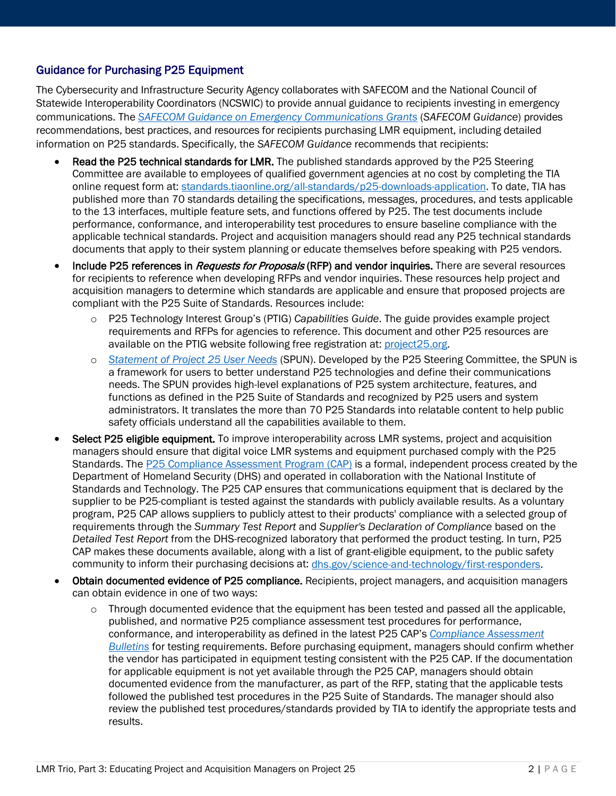#### Guidance for Purchasing P25 Equipment

The Cybersecurity and Infrastructure Security Agency collaborates with SAFECOM and the National Council of Statewide Interoperability Coordinators (NCSWIC) to provide annual guidance to recipients investing in emergency communications. The *[SAFECOM Guidance on Emergency Communications Grants](https://www.cisa.gov/safecom/funding)* (*SAFECOM Guidance*) provides recommendations, best practices, and resources for recipients purchasing LMR equipment, including detailed information on P25 standards. Specifically, the *SAFECOM Guidance* recommends that recipients:

- Read the P25 technical standards for LMR. The published standards approved by the P25 Steering Committee are available to employees of qualified government agencies at no cost by completing the TIA online request form at: [standards.tiaonline.org/all-standards/p25-downloads-application.](https://standards.tiaonline.org/all-standards/p25-downloads-application) To date, TIA has published more than 70 standards detailing the specifications, messages, procedures, and tests applicable to the 13 interfaces, multiple feature sets, and functions offered by P25. The test documents include performance, conformance, and interoperability test procedures to ensure baseline compliance with the applicable technical standards. Project and acquisition managers should read any P25 technical standards documents that apply to their system planning or educate themselves before speaking with P25 vendors.
- Include P25 references in *Requests for Proposals* (RFP) and vendor inquiries. There are several resources for recipients to reference when developing RFPs and vendor inquiries. These resources help project and acquisition managers to determine which standards are applicable and ensure that proposed projects are compliant with the P25 Suite of Standards. Resources include:
	- o P25 Technology Interest Group's (PTIG) *Capabilities Guide*. The guide provides example project requirements and RFPs for agencies to reference. This document and other P25 resources are available on the PTIG website following free registration at: [project25.org.](http://www.project25.org/)
	- o *[Statement of Project 25 User Needs](https://www.cisa.gov/publication/p25)* (SPUN). Developed by the P25 Steering Committee, the SPUN is a framework for users to better understand P25 technologies and define their communications needs. The SPUN provides high-level explanations of P25 system architecture, features, and functions as defined in the P25 Suite of Standards and recognized by P25 users and system administrators. It translates the more than 70 P25 Standards into relatable content to help public safety officials understand all the capabilities available to them.
- Select P25 eligible equipment. To improve interoperability across LMR systems, project and acquisition managers should ensure that digital voice LMR systems and equipment purchased comply with the P25 Standards. The P25 [Compliance Assessment Program \(CAP\)](https://www.dhs.gov/science-and-technology/p25-cap) is a formal, independent process created by the Department of Homeland Security (DHS) and operated in collaboration with the National Institute of Standards and Technology. The P25 CAP ensures that communications equipment that is declared by the supplier to be P25-compliant is tested against the standards with publicly available results. As a voluntary program, P25 CAP allows suppliers to publicly attest to their products' compliance with a selected group of requirements through the *Summary Test Report* and *Supplier's Declaration of Compliance* based on the *Detailed Test Report* from the DHS-recognized laboratory that performed the product testing. In turn, P25 CAP makes these documents available, along with a list of grant-eligible equipment, to the public safety community to inform their purchasing decisions at: [dhs.gov/science-and-technology/first-responders.](https://www.dhs.gov/science-and-technology/first-responders)
- Obtain documented evidence of P25 compliance. Recipients, project managers, and acquisition managers can obtain evidence in one of two ways:
	- o Through documented evidence that the equipment has been tested and passed all the applicable, published, and normative P25 compliance assessment test procedures for performance, conformance, and interoperability as defined in the latest P25 CAP's *[Compliance Assessment](https://www.dhs.gov/science-and-technology/bulletins)  [Bulletins](https://www.dhs.gov/science-and-technology/bulletins)* for testing requirements. Before purchasing equipment, managers should confirm whether the vendor has participated in equipment testing consistent with the P25 CAP. If the documentation for applicable equipment is not yet available through the P25 CAP, managers should obtain documented evidence from the manufacturer, as part of the RFP, stating that the applicable tests followed the published test procedures in the P25 Suite of Standards. The manager should also review the published test procedures/standards provided by TIA to identify the appropriate tests and results.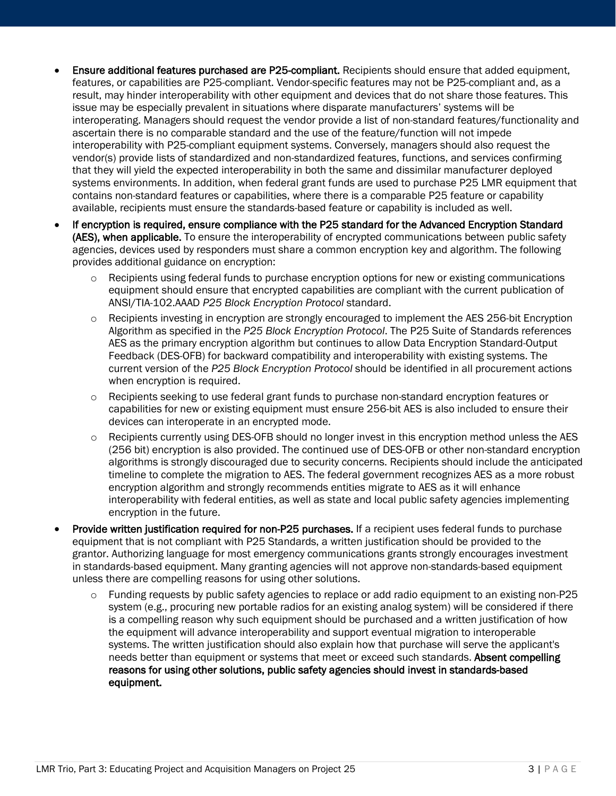- Ensure additional features purchased are P25-compliant. Recipients should ensure that added equipment, features, or capabilities are P25-compliant. Vendor-specific features may not be P25-compliant and, as a result, may hinder interoperability with other equipment and devices that do not share those features. This issue may be especially prevalent in situations where disparate manufacturers' systems will be interoperating. Managers should request the vendor provide a list of non-standard features/functionality and ascertain there is no comparable standard and the use of the feature/function will not impede interoperability with P25-compliant equipment systems. Conversely, managers should also request the vendor(s) provide lists of standardized and non-standardized features, functions, and services confirming that they will yield the expected interoperability in both the same and dissimilar manufacturer deployed systems environments. In addition, when federal grant funds are used to purchase P25 LMR equipment that contains non-standard features or capabilities, where there is a comparable P25 feature or capability available, recipients must ensure the standards-based feature or capability is included as well.
- If encryption is required, ensure compliance with the P25 standard for the Advanced Encryption Standard (AES), when applicable. To ensure the interoperability of encrypted communications between public safety agencies, devices used by responders must share a common encryption key and algorithm. The following provides additional guidance on encryption:
	- $\circ$  Recipients using federal funds to purchase encryption options for new or existing communications equipment should ensure that encrypted capabilities are compliant with the current publication of ANSI/TIA-102.AAAD *P25 Block Encryption Protocol* standard.
	- $\circ$  Recipients investing in encryption are strongly encouraged to implement the AES 256-bit Encryption Algorithm as specified in the *P25 Block Encryption Protocol*. The P25 Suite of Standards references AES as the primary encryption algorithm but continues to allow Data Encryption Standard-Output Feedback (DES-OFB) for backward compatibility and interoperability with existing systems. The current version of the *P25 Block Encryption Protocol* should be identified in all procurement actions when encryption is required.
	- $\circ$  Recipients seeking to use federal grant funds to purchase non-standard encryption features or capabilities for new or existing equipment must ensure 256-bit AES is also included to ensure their devices can interoperate in an encrypted mode.
	- $\circ$  Recipients currently using DES-OFB should no longer invest in this encryption method unless the AES (256 bit) encryption is also provided. The continued use of DES-OFB or other non-standard encryption algorithms is strongly discouraged due to security concerns. Recipients should include the anticipated timeline to complete the migration to AES. The federal government recognizes AES as a more robust encryption algorithm and strongly recommends entities migrate to AES as it will enhance interoperability with federal entities, as well as state and local public safety agencies implementing encryption in the future.
- Provide written justification required for non-P25 purchases. If a recipient uses federal funds to purchase equipment that is not compliant with P25 Standards, a written justification should be provided to the grantor. Authorizing language for most emergency communications grants strongly encourages investment in standards-based equipment. Many granting agencies will not approve non-standards-based equipment unless there are compelling reasons for using other solutions.
	- o Funding requests by public safety agencies to replace or add radio equipment to an existing non-P25 system (e.g., procuring new portable radios for an existing analog system) will be considered if there is a compelling reason why such equipment should be purchased and a written justification of how the equipment will advance interoperability and support eventual migration to interoperable systems. The written justification should also explain how that purchase will serve the applicant's needs better than equipment or systems that meet or exceed such standards. Absent compelling reasons for using other solutions, public safety agencies should invest in standards-based equipment.